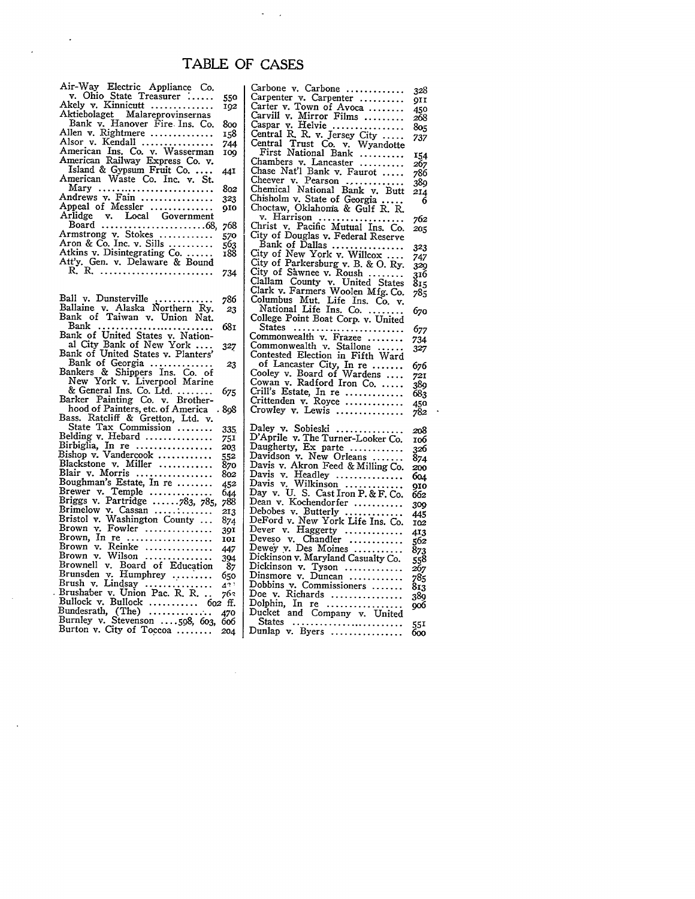## TABLE OF **CASES**

 $\epsilon = 1$ 

| Air-Way Electric Appliance Co.  |     |
|---------------------------------|-----|
| v. Ohio State Treasurer         | 550 |
| Akely v. Kinnicutt              | 102 |
| Aktiebolaget Malareprovinsernas |     |
| Bank v. Hanover Fire Ins. Co.   | 800 |
| Allen v. Rightmere              | 158 |
| Alsor v. Kendall                | 744 |
| American Ins. Co. v. Wasserman  | 109 |
| American Railway Express Co. v. |     |
| Island & Gypsum Fruit Co.       | 441 |
| American Waste Co. Inc. v. St.  |     |
| Mary                            | 802 |
| Andrews v. Fain                 | 323 |
| Appeal of Messler               | 910 |
| Arlidge v. Local Government     |     |
|                                 | 768 |
| Armstrong v. Stokes             | 570 |
| Aron & Co. Inc. v. Sills        | 563 |
| Atkins v. Disintegrating Co.    | 188 |
| Att'y. Gen. v. Delaware & Bound |     |
| R. R.                           |     |
|                                 | 734 |

 $\ddot{\phantom{0}}$ 

|                                                         | 786        |
|---------------------------------------------------------|------------|
| Ball v. Dunsterville<br>Ballaine v. Alaska Northern Ry. |            |
| Bank of Taiwan v. Union Nat.                            | 23         |
| Bank                                                    | 68т        |
| .<br>Bank of United States v. Nation-                   |            |
|                                                         |            |
| al City Bank of New York                                | 327        |
| Bank of United States v. Planters'                      |            |
| Bank of Georgia<br>Bankers & Shippers Ins. Co. of       | 23         |
|                                                         |            |
| New York v. Liverpool Marine                            |            |
| & General Ins. Co. Ltd.                                 | 675        |
| Barker Painting Co. v. Brother-                         |            |
| hood of Painters, etc. of America                       | 898        |
| Bass. Ratcliff & Gretton, Ltd. v.                       |            |
| State Tax Commission                                    | 335        |
| Belding v. Hebard                                       | 751        |
| Birbiglia, In re                                        | 203        |
| Bishop v. Vandercook                                    | 552        |
| Blackstone v. Miller                                    | 870        |
| Blair v. Morris                                         | 802        |
| Boughman's Estate, In re                                | 452        |
|                                                         |            |
| Brewer v. Temple<br>Briggs v. Partridge 783, 785,       | 644        |
|                                                         | 788        |
| Brimelow v. Cassan                                      | 213        |
| Bristol v. Washington County                            | 874        |
| Brown v. Fowler                                         | 391        |
| Brown, $\text{In}$ re                                   | <b>IOI</b> |
| Brown v. Reinke                                         | 447        |
| Brown v. Wilson                                         | 394        |
| Brownell v. Board of Education                          | -87        |
| Brunsden v. Humphrey                                    | 650        |
|                                                         | 433        |
| Brush v. Lindsay<br>Brushaber v. Union Pac. R. R.       | 763        |
| Bullock v. Bullock  602 ff.                             |            |
| Bundesrath, $(The)$                                     | 470        |
| Burnley v. Stevenson 598, 603,                          | 606        |
| Burton v. City of Toccoa                                | 204        |
|                                                         |            |

 $\hat{\mathcal{A}}$ 

 $\overline{\phantom{a}}$ 

| Carbone v. Carbone<br>Carpenter v. Carpenter<br>Carter v. Town of Ayoca                                                                                                                                                                         | 328<br><b>QII</b> |
|-------------------------------------------------------------------------------------------------------------------------------------------------------------------------------------------------------------------------------------------------|-------------------|
|                                                                                                                                                                                                                                                 | 450               |
|                                                                                                                                                                                                                                                 | 268               |
|                                                                                                                                                                                                                                                 | 805               |
|                                                                                                                                                                                                                                                 | 737               |
|                                                                                                                                                                                                                                                 |                   |
|                                                                                                                                                                                                                                                 | 154               |
| Chambers v. Lancaster                                                                                                                                                                                                                           | 267               |
|                                                                                                                                                                                                                                                 | 786               |
|                                                                                                                                                                                                                                                 | .<br>389          |
|                                                                                                                                                                                                                                                 | 214               |
|                                                                                                                                                                                                                                                 | 6                 |
| Champers v. Lancaster<br>Chaee Nat'l Bank v. Faurot<br>Cheever v. Pearson<br>Chemical National Bank v. Butt<br>Chisholm v. Static Metorgia<br>Chotaw, Oklahoma & Gulf R. R.<br>Chirist v. Pacific Mutu                                          |                   |
|                                                                                                                                                                                                                                                 | 762               |
|                                                                                                                                                                                                                                                 | 205               |
| City of Douglas v. Federal Reserve<br>Bank of Dallas<br>City of New York v. Willcox<br>City of Parkersburg v. B. & O. Ry.                                                                                                                       |                   |
|                                                                                                                                                                                                                                                 | 323               |
|                                                                                                                                                                                                                                                 | 747               |
|                                                                                                                                                                                                                                                 | 329               |
|                                                                                                                                                                                                                                                 | 316               |
|                                                                                                                                                                                                                                                 | 815               |
|                                                                                                                                                                                                                                                 | 785               |
|                                                                                                                                                                                                                                                 |                   |
| City of Farkersburg v. 5. & O. Ky.<br>City of Sawnee v. Roush<br>Clallam County v. United States<br>Clark v. Farmers Woolen Mfg. Co.<br>Columbus Mut. Life Ins. Co. v.<br>National Life Ins. Co.<br>College Point Boat Corp. v                  | 670               |
|                                                                                                                                                                                                                                                 | 677               |
|                                                                                                                                                                                                                                                 | 734               |
|                                                                                                                                                                                                                                                 | 327               |
| States<br>Commonwealth v. Frazee<br>Commonwealth v. Stallone<br>Contested Election in Fifth Ward                                                                                                                                                |                   |
| of Lancaster City, In re<br>Cooley v. Board of Wardens<br>Cowan v. Radford Iron Co.                                                                                                                                                             | 676               |
|                                                                                                                                                                                                                                                 | 721               |
|                                                                                                                                                                                                                                                 | 389               |
| Crill's Estate, In re                                                                                                                                                                                                                           | 683               |
|                                                                                                                                                                                                                                                 | 450               |
| Crittenden v. Royce<br>Crowley v. Lewis                                                                                                                                                                                                         | 782               |
| Daley v. Sobieski<br>D'Aprile v. The Turner-Looker Co.<br>Daugherty, Ex parte<br>Davidson v. New Orleans                                                                                                                                        |                   |
|                                                                                                                                                                                                                                                 | 208               |
|                                                                                                                                                                                                                                                 | 106               |
|                                                                                                                                                                                                                                                 | 326               |
| Davis v. Akron Feed & Milling Co.                                                                                                                                                                                                               | 874               |
|                                                                                                                                                                                                                                                 | 200               |
|                                                                                                                                                                                                                                                 | 604               |
|                                                                                                                                                                                                                                                 | 910<br>662        |
| Davis v. Akron reed & Milling Co.<br>Davis v. Headley<br>Davis v. Wilkinson<br>Davis v. Wilkinson<br>Day v. U. S. Cast Iron P. & F. Co.<br>Dean v. Kochendorfer<br>Debobes v. Butterly<br>DeFord v. New York Life Ins. Co.<br>Dever v. Haggerty | 309               |
|                                                                                                                                                                                                                                                 | 445               |
|                                                                                                                                                                                                                                                 | 102               |
|                                                                                                                                                                                                                                                 | 413               |
|                                                                                                                                                                                                                                                 | 562               |
|                                                                                                                                                                                                                                                 | 873               |
| Dickinson v. Maryland Casualty Co.                                                                                                                                                                                                              | 558               |
| Dickinson v. Tyson<br>Dinsmore v. Duncan                                                                                                                                                                                                        | 267               |
|                                                                                                                                                                                                                                                 | 785               |
| Doublins v. Commissioners<br>Dobbins v. Commissioners                                                                                                                                                                                           | 813               |
|                                                                                                                                                                                                                                                 | 389               |
|                                                                                                                                                                                                                                                 | 906               |
| Dolphin, In re<br>Ducket and Company v. United                                                                                                                                                                                                  |                   |
|                                                                                                                                                                                                                                                 |                   |
| States<br>Dunlap v. Byers                                                                                                                                                                                                                       | 551<br>600        |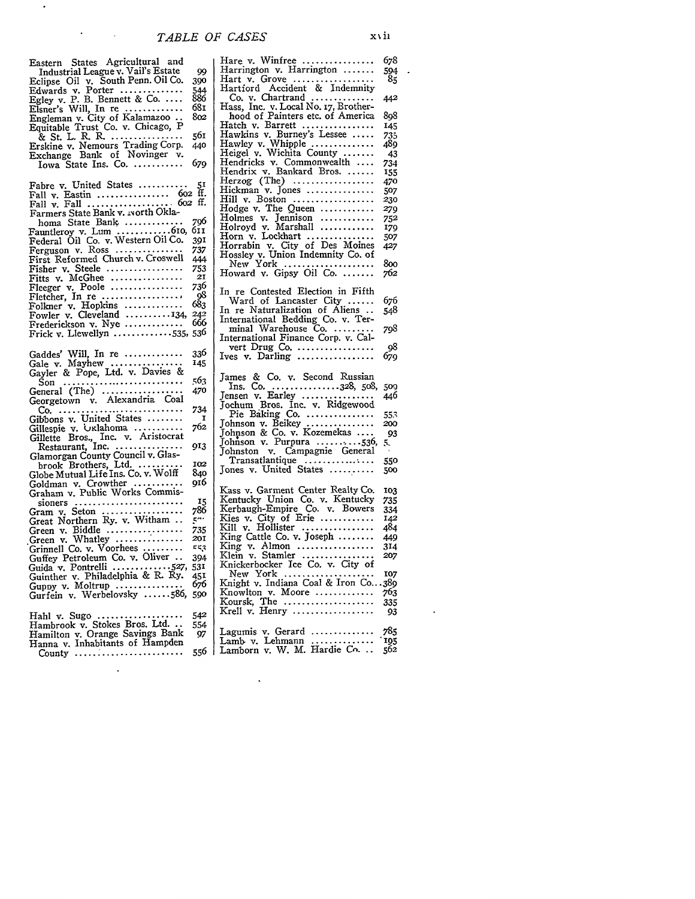| Hare v. Winfree<br>Eastern States Agricultural and<br>Harrington v. Harrington $\ldots$<br>Industrial League v. Vail's Estate<br>99<br>Hart v. Grove<br>Eclipse Oil v. South Penn. Oil Co.<br>390<br>Hartford Accident & Indemnity<br>Edwards v. Porter<br>544<br>886<br>$Co. v. Chartrand$<br>Egley v. P. B. Bennett & Co.<br>Hass, Inc. v. Local No. 17, Brother-<br>681<br>Elsner's Will, In re<br>hood of Painters etc. of America<br>802<br>Engleman v. City of Kalamazoo | 678<br>594<br>85 |
|--------------------------------------------------------------------------------------------------------------------------------------------------------------------------------------------------------------------------------------------------------------------------------------------------------------------------------------------------------------------------------------------------------------------------------------------------------------------------------|------------------|
|                                                                                                                                                                                                                                                                                                                                                                                                                                                                                |                  |
|                                                                                                                                                                                                                                                                                                                                                                                                                                                                                |                  |
|                                                                                                                                                                                                                                                                                                                                                                                                                                                                                |                  |
|                                                                                                                                                                                                                                                                                                                                                                                                                                                                                |                  |
|                                                                                                                                                                                                                                                                                                                                                                                                                                                                                | 442              |
|                                                                                                                                                                                                                                                                                                                                                                                                                                                                                |                  |
|                                                                                                                                                                                                                                                                                                                                                                                                                                                                                | 898              |
| Hatch v. Barrett<br>Equitable Trust Co. v. Chicago, P                                                                                                                                                                                                                                                                                                                                                                                                                          | 145              |
| Hawkins v. Burney's Lessee<br>561<br>& St. L. R. R.                                                                                                                                                                                                                                                                                                                                                                                                                            | 735              |
| Hawley v. Whipple<br>Erskine v. Nemours Trading Corp.<br>440                                                                                                                                                                                                                                                                                                                                                                                                                   | 489              |
| Heigel v. Wichita County $\ldots$<br>Exchange Bank of Novinger v.                                                                                                                                                                                                                                                                                                                                                                                                              | 43               |
| Hendricks v. Commonwealth<br>679<br>$Iowa$ State Ins. Co.                                                                                                                                                                                                                                                                                                                                                                                                                      | 734              |
| Hendrix v. Bankard Bros.                                                                                                                                                                                                                                                                                                                                                                                                                                                       | 155              |
| Herzog (The) $\ldots$<br>Fabre v. United States<br>51                                                                                                                                                                                                                                                                                                                                                                                                                          | 470              |
| Hickman v. Jones<br>Fall v. Eastin  602 ff.                                                                                                                                                                                                                                                                                                                                                                                                                                    | 507              |
| Hill v. Boston                                                                                                                                                                                                                                                                                                                                                                                                                                                                 | 230              |
| Hodge v. The Queen<br>Farmers State Bank v. ivorth Okla-                                                                                                                                                                                                                                                                                                                                                                                                                       | 279              |
| Holmes v. Jennison<br>796<br>homa State Bank<br>$Holroyd$ v. Marshall                                                                                                                                                                                                                                                                                                                                                                                                          | 752              |
| Fauntleroy v. Lum $\dots \dots \dots \dots$ 610,<br><b>OII</b><br>$\text{Horn}$ v. Lockhart $\dots\dots\dots\dots\dots$                                                                                                                                                                                                                                                                                                                                                        | 179              |
| Federal Oil Co. v. Western Oil Co.<br>391<br>Horrabin v. City of Des Moines                                                                                                                                                                                                                                                                                                                                                                                                    | 507              |
| Ferguson v. Ross<br>737<br>Hossley v. Union Indemnity Co. of                                                                                                                                                                                                                                                                                                                                                                                                                   | 427              |
| First Reformed Church v. Croswell<br>444<br>New York                                                                                                                                                                                                                                                                                                                                                                                                                           | 800              |
| 753<br>Fisher v. Steele $\dots\dots\dots\dots\dots\dots$<br>Howard v. Gipsy Oil Co.                                                                                                                                                                                                                                                                                                                                                                                            | 762              |
| 21<br>Fitts v. McGhee                                                                                                                                                                                                                                                                                                                                                                                                                                                          |                  |
| 736<br>Fleeger v. Poole<br>In re Contested Election in Fifth                                                                                                                                                                                                                                                                                                                                                                                                                   |                  |
| 98<br>Fletcher, In re<br>Ward of Lancaster City $\dots$                                                                                                                                                                                                                                                                                                                                                                                                                        | 676              |
| 683<br>Folkner v. Hopkins<br>In re Naturalization of Aliens                                                                                                                                                                                                                                                                                                                                                                                                                    | 548              |
| Fowler v. Cleveland $\ldots \ldots \ldots 134$<br>242<br>International Bedding Co. v. Ter-                                                                                                                                                                                                                                                                                                                                                                                     |                  |
| 666<br>Frederickson v. Nye $\ldots$<br>minal Warehouse Co.                                                                                                                                                                                                                                                                                                                                                                                                                     | 798              |
| Frick v. Llewellyn $\ldots \ldots \ldots \ldots$ 535, 536<br>International Finance Corp. v. Cal-                                                                                                                                                                                                                                                                                                                                                                               |                  |
| vert Drug Co. $\dots\dots\dots\dots\dots\dots$                                                                                                                                                                                                                                                                                                                                                                                                                                 | 98               |
| Gaddes' Will, In re<br>336<br>lves v. Darling                                                                                                                                                                                                                                                                                                                                                                                                                                  | 679              |
| 145<br>Gale $v$ . Mayhew                                                                                                                                                                                                                                                                                                                                                                                                                                                       |                  |
|                                                                                                                                                                                                                                                                                                                                                                                                                                                                                |                  |
| Gayler & Pope, Ltd. v. Davies &                                                                                                                                                                                                                                                                                                                                                                                                                                                |                  |
| James & Co. v. Second Russian<br>563<br>Son                                                                                                                                                                                                                                                                                                                                                                                                                                    |                  |
| Ins. Co. 328, 508,<br>General (The) $\ldots \ldots \ldots \ldots \ldots$<br>470                                                                                                                                                                                                                                                                                                                                                                                                | 509              |
| Jensen v. Earley<br>Georgetown v. Alexandria Coal                                                                                                                                                                                                                                                                                                                                                                                                                              | 446              |
| Jochum Bros. Inc. v. Ridgewood<br>734                                                                                                                                                                                                                                                                                                                                                                                                                                          |                  |
| Pie Baking Co.<br>Gibbons v. United States<br>I<br>Johnson v. Beikey                                                                                                                                                                                                                                                                                                                                                                                                           | 553<br>200       |
| 762<br>Gillespie v. Oklahoma                                                                                                                                                                                                                                                                                                                                                                                                                                                   | 93               |
| Johnson & Co. v. Kozemekas<br>Gillette Bros., Inc. v. Aristocrat<br>Johnson v. Purpura 530,                                                                                                                                                                                                                                                                                                                                                                                    | 5.               |
| Restaurant, Inc.<br>913<br>Johnston v. Campagnie General                                                                                                                                                                                                                                                                                                                                                                                                                       |                  |
| Glamorgan County Council v. Glas-<br>Transatlantique                                                                                                                                                                                                                                                                                                                                                                                                                           | 550              |
| 102<br>brook Brothers, Ltd. $\dots\dots\dots$<br>Jones v. United States                                                                                                                                                                                                                                                                                                                                                                                                        | 500              |
| Globe Mutual Life Ins. Co. v. Wolff<br>840                                                                                                                                                                                                                                                                                                                                                                                                                                     |                  |
| 916<br>Goldman v. Crowther $\dots\dots\dots\dots$<br>Kass v. Garment Center Realty Co.                                                                                                                                                                                                                                                                                                                                                                                         | 103              |
| Graham v. Public Works Commis-<br>Kentucky Union Co. v. Kentucky                                                                                                                                                                                                                                                                                                                                                                                                               | 735              |
| 15<br>$sioners$<br>Kerbaugh-Empire Co. v. Bowers<br>786                                                                                                                                                                                                                                                                                                                                                                                                                        | 334              |
| Gram v. Seton $\dots \dots \dots \dots \dots$<br>Kies v. City of Erie<br>571                                                                                                                                                                                                                                                                                                                                                                                                   | 142              |
| Great Northern Ry. v. Witham<br>Kill v. Hollister $\dots\dots\dots\dots\dots$                                                                                                                                                                                                                                                                                                                                                                                                  | 484              |
| Green v. Biddle<br>735<br>King Cattle Co. v. Joseph $\ldots \ldots$<br>20I                                                                                                                                                                                                                                                                                                                                                                                                     | 449              |
| Green v. Whatley<br>King $v.$ Almon<br>ピピス                                                                                                                                                                                                                                                                                                                                                                                                                                     | 314              |
| Grinnell Co. v. Voorhees<br>Klein v. Stamler<br>394                                                                                                                                                                                                                                                                                                                                                                                                                            | 207              |
| Guffey Petroleum Co. v. Oliver<br>Knickerbocker Ice Co. v. City of                                                                                                                                                                                                                                                                                                                                                                                                             |                  |
| Guida v. Pontrelli 527, 531<br>New York $\ldots$ $\ldots$<br>451                                                                                                                                                                                                                                                                                                                                                                                                               | 107              |
| Guinther v. Philadelphia & R. Ry.<br>Knight v. Indiana Coal & Iron Co389<br>676<br>Guppy v. Moltrup                                                                                                                                                                                                                                                                                                                                                                            |                  |
| Knowlton v. Moore<br>Gurfein v. Werbelovsky 586, 590                                                                                                                                                                                                                                                                                                                                                                                                                           | 763              |
| Koursk. The $\dots\dots\dots\dots\dots\dots$                                                                                                                                                                                                                                                                                                                                                                                                                                   | 335              |
| Krell v. Henry<br>542                                                                                                                                                                                                                                                                                                                                                                                                                                                          | 93               |
| Hahl v. Sugo<br>554                                                                                                                                                                                                                                                                                                                                                                                                                                                            |                  |
| Hambrook v. Stokes Bros. Ltd.<br>Lagumis v. Gerard $\dots\dots\dots\dots$<br>97                                                                                                                                                                                                                                                                                                                                                                                                | 785              |
| Hamilton v. Orange Savings Bank<br>Lamb v. Lehmann $\ldots$<br>Hanna v. Inhabitants of Hampden<br>Lamborn v. W. M. Hardie Co<br>556 l<br>County                                                                                                                                                                                                                                                                                                                                | 195<br>562       |

 $\sim$ 

 $\ddot{\phantom{a}}$ 

re v. Winfree .................. 678<br>trrington v. Harrington ....... 594<br>trt v. Grove .................... 85 arrington v. Harrington ....... Hart v. Grove .................. **85** Hartford Accident & Indemnity Co. v. Chartrand .............. *442* Hass, Inc. v. Local No. **17,** Brother-hood of Painters etc. of America 898 Hatch v. Barrett ................... 145<br>Hawkins v. Burney's Lessee ..... 735<br>Hawley v. Whipple ................ 489<br>Heigel v. Wichita County ....... 43 Hendricks v. Commonwealth **....** 734 Hendrix v. Bankard Bros **....... 155** Herzog (The) .................. 47o Hickman v. Jones ............... **507** Hill v. Boston .................. *23o* Hodge v. The Queen ............ *279* Holmes v. Jennison **............ 752** Holroyd v. Marshall ............ *179* Horn v. Lockhart ............... *507* Horrabin v. City of Des Moines **427** Hossley v. Union Indemnity **Co.** of New York .................... 8oo Howard **v.** Gipsy Oil *Co.* ....... *762* re Contested Election in Fifth Ward of Lancaster City ...... **<sup>676</sup>** In re Naturalization of Aliens **..** 548 International Bedding Co. v. Ter-minal Warehouse Co .......... 798 International Finance Corp. v. Calvert Drug Co .................. **98**  $v.$  Darling  $\dots\dots\dots\dots\dots$ nes & Co. v. Second Russian Ins. Co. ..................328, 508, 509 Jensen v. Earley ................ 446 Jochum Bros. Inc. v. Ridgewood Pie Baking **Co.** ............... **553** Johnson v. Beikey ............... 2oo Johpson & Co. v. Kozemekas .... *93* Johnson v. Purpura  $\dots \dots \dots 536, 5$ Johnston v. Campagnie General Transatlantique ............... **550** Jones v. United States .......... 5oo ss v. Garment Center Realty Co. 103 Kentucky Union Co. v. Kentucky 735 Kerbaugh-Empire Co. v. Bowers 334 Kies v. City of Erie ............ 142 Kill v. Hollister ................ 484 II v. Hollister .................. 484<br>ng Cattle Co. v. Joseph ......... 449 King v. Almon ................. 314 Klein v. Stamler ................ *207* ickerbocker Ice Co. v. City of New York .................... **107** Knight v. Indiana Coal & Iron Co.. .389 Knowlton v. Moore ............. 763 Koursk, The .................... 335 Krell v. Henry .................. *93* Lagumis v. Gerard .............. 785

 $\ddot{\phantom{a}}$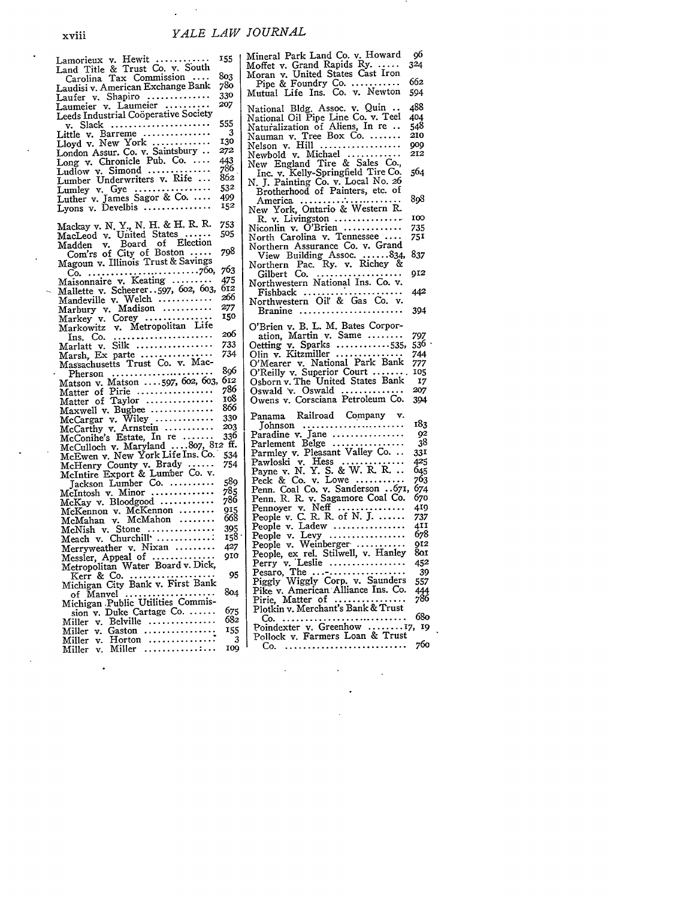$\sim$  .  $\mathcal{L}^{\mathcal{L}}$ 

| Lamorieux v. Hewit<br>Land Title & Trust Co. v. South<br>- Carolina Tax Commission                                        | 155                     |
|---------------------------------------------------------------------------------------------------------------------------|-------------------------|
|                                                                                                                           |                         |
|                                                                                                                           | 803<br>780              |
| Laudisi v. American Exchange Bank                                                                                         | 330                     |
| Laufer v. Shapiro<br>Laumeier v. Laumeier                                                                                 | 207                     |
| Leeds Industrial Coöperative Society                                                                                      |                         |
| v. Slack                                                                                                                  | 555                     |
| Little v. Barreme                                                                                                         | $\overline{\mathbf{3}}$ |
|                                                                                                                           | 130                     |
| Lloyd v. New York<br>London Assur. Co. v. Saintsbury                                                                      | 272                     |
| Long v. Chronicle Pub. Co.                                                                                                | 443                     |
|                                                                                                                           | 786                     |
|                                                                                                                           | 862                     |
|                                                                                                                           | 532<br>499              |
| Lyons v. Develbis $\dots\dots\dots\dots\dots$                                                                             | 152                     |
|                                                                                                                           |                         |
| Mackay v. N. Y., N. H. & H. R. R.<br>MacLeod v. United States<br>Madden v. Board of Election<br>Con't's of City of Boston | 753                     |
|                                                                                                                           | 505                     |
|                                                                                                                           |                         |
|                                                                                                                           | 798                     |
| Magoun v. Illinois Trust & Savings                                                                                        |                         |
|                                                                                                                           | 763                     |
|                                                                                                                           | 475                     |
| Mallette v. Scheerer597, 602, 603,                                                                                        | 612<br>266              |
|                                                                                                                           |                         |
| Mandeville v. Welch<br>Marbury v. Madison<br>Marbury v. Madison<br>Markey v. Corey                                        | 277<br>150              |
|                                                                                                                           |                         |
| Markowitz v. Metropolitan Life                                                                                            | 206                     |
| Ins. Co.<br>Marlatt_v. Silk                                                                                               | 733                     |
| Marsh, Ex parte                                                                                                           | 734                     |
| Massachusetts Trust Co. v. Mac-                                                                                           |                         |
|                                                                                                                           | 806                     |
|                                                                                                                           | 612                     |
|                                                                                                                           | 786                     |
|                                                                                                                           | 108<br>866              |
| Maxwell v. Bugbee                                                                                                         |                         |
|                                                                                                                           |                         |
|                                                                                                                           |                         |
|                                                                                                                           |                         |
|                                                                                                                           |                         |
|                                                                                                                           |                         |
|                                                                                                                           |                         |
|                                                                                                                           | 589                     |
| $McIntosh$ v. Minor                                                                                                       | 785                     |
| McKay v. Bloodgood                                                                                                        | 786                     |
| McKennon v. McKennon<br>McMahan v. McMahon                                                                                | 915<br>668              |
| $McNish$ v. Stone $\dots\dots\dots\dots\dots$                                                                             | 395                     |
| Meach v. Churchill                                                                                                        | 158                     |
| Merryweather v. Nixan                                                                                                     | 427                     |
|                                                                                                                           | 910                     |
| Messler, Appeal of<br>Metropolitan Water Board v. Dick,                                                                   |                         |
|                                                                                                                           | 95                      |
| Kerr & Co.<br>Michigan City Bank v. First Bank                                                                            |                         |
| of Manvel<br>Michigan Public Utilities Commis-                                                                            | 804                     |
|                                                                                                                           |                         |
| sion v. Duke Cartage Co.                                                                                                  | 675<br>682              |
| v. Belville<br>Miller                                                                                                     | I55                     |
| Gaston<br>Miller<br>v.<br>Miller v. Horton                                                                                | 3                       |
| $v.$ Miller<br>Miller                                                                                                     | 109                     |
|                                                                                                                           |                         |

| Mineral Park Land Co. v. Howard<br>Moffet v. Grand Rapids Ry.<br>Moran v. United States Cast Iron                                                                  | 96<br>324   |
|--------------------------------------------------------------------------------------------------------------------------------------------------------------------|-------------|
| Pipe & Foundry Co.<br>Mutual Life Ins. Co. v. Newton                                                                                                               | 662<br>594  |
| National Bldg. Assoc. v. Quin<br>National Oil Pipe Line Co. v. Teel<br>Naturalization of Aliens, In re<br>Nauman v. Tree Box Co.                                   | 488<br>404  |
|                                                                                                                                                                    | 548<br>210  |
| Nelson v. Hill<br>Newbold v. Michael                                                                                                                               | 009<br>212  |
| New England Tire & Sales Co.,<br>Inc. v. Kelly-Springfield Tire Co.<br>N. J. Painting Co. v. Local No. 26                                                          | 564         |
| Brotherhood of Painters, etc. of                                                                                                                                   | 898         |
|                                                                                                                                                                    |             |
| R. v. Livingston<br>Niconlin v. O'Brien                                                                                                                            | 100         |
| North Carolina v. Tennessee                                                                                                                                        | 735<br>751  |
| Northern Assurance Co. v. Grand                                                                                                                                    |             |
| View Building Assoc. 834,<br>Northern Pac. Ry. v. Richey &                                                                                                         | 837         |
| Gilbert Co.<br>Northwestern National Ins. Co. v.                                                                                                                   | 912         |
| Fishback<br>Northwestern Oil & Gas Co.                                                                                                                             | 442         |
| v.<br>Branine<br>$\cdots$                                                                                                                                          | 394         |
| O'Brien v. B. L. M. Bates Corpor-                                                                                                                                  |             |
| ation, Martin v. Same                                                                                                                                              | 797         |
| Oetting v. Sparks 535,<br>Olin v. Kitzmiller                                                                                                                       | 536         |
| O'Mearer v. National Park Bank                                                                                                                                     | 744<br>777  |
| O'Reilly v. Superior Court                                                                                                                                         | 105         |
| Osborn v. The United States Bank                                                                                                                                   | 17          |
| Oswald v. Oswald                                                                                                                                                   | 207         |
| Owens v. Corsciana Petroleum Co.                                                                                                                                   | 394         |
| Panama Railroad Company v.<br>$Johnson \ldots \ldots \ldots \ldots \ldots \ldots$                                                                                  | 183         |
| Paradine v. Jane                                                                                                                                                   | 92          |
| Parlement Belge<br>Parmley v. Pleasant Valley Co.                                                                                                                  | 38          |
|                                                                                                                                                                    | 331         |
|                                                                                                                                                                    | 425         |
|                                                                                                                                                                    | 645<br>763  |
|                                                                                                                                                                    | 674         |
| Pawloski v. Hess<br>Pawloski v. Hess<br>Payne v. N. Y. S. & W. R. R.<br>Peck & Co. v. Lowe<br>Penn. Coal Co. v. Sanderson 671,<br>Penn. R. R. v. Sagamore Coal Co. | 670         |
|                                                                                                                                                                    | 419         |
|                                                                                                                                                                    | 737         |
| People v. Ladew                                                                                                                                                    | 4II         |
|                                                                                                                                                                    | 678         |
|                                                                                                                                                                    | QI 2<br>8о. |
|                                                                                                                                                                    | 452         |
|                                                                                                                                                                    | 39          |
|                                                                                                                                                                    | 557         |
| Pike v. American Alliance Ins. Co.                                                                                                                                 | 444         |
| Pirie, Matter of<br>.<br>$\cdots$<br>Plotkin v. Merchant's Bank & Trust                                                                                            | 786         |
| .<br>Co.                                                                                                                                                           | 680         |
|                                                                                                                                                                    | 19          |
| Poindexter v. Greenhow 17,<br>Pollock v. Farmers Loan & Trust                                                                                                      |             |
| Co.                                                                                                                                                                | 760         |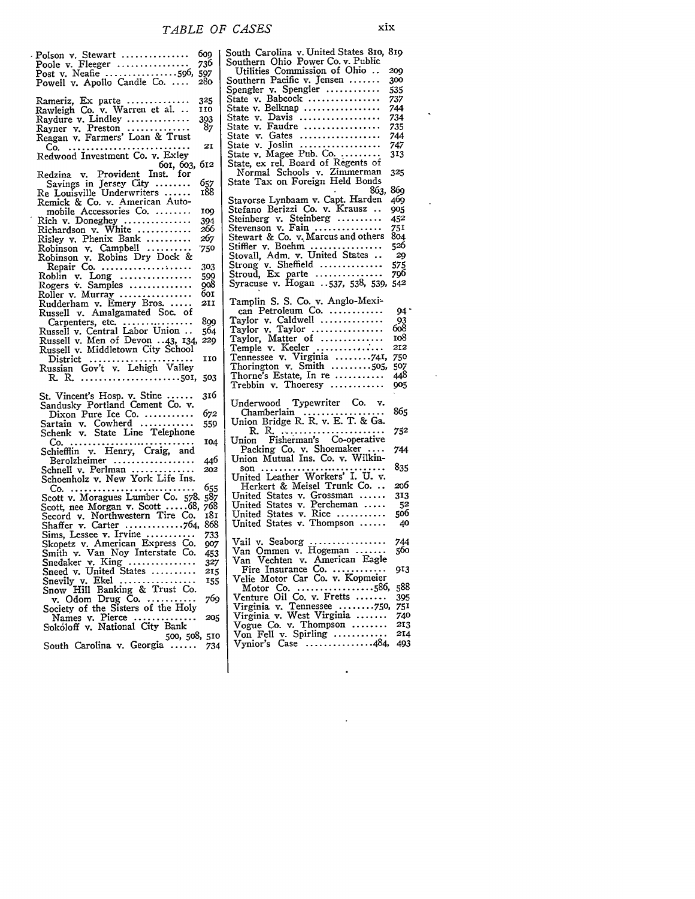Polson v. Stewart ............... **609** Poole v. Fleeger ................ 736 Post v. Neafie ................ 596, 597 Powell v. Apollo Candle Co **.... 280** Rameriz, Ex parte .............. **325** Rawleigh Co. v. Warren et al... **<sup>110</sup>** Raydure v. Lindley .............. 393 Rayner v. Preston  $\ldots \ldots \ldots \ldots$  87 Reagan v. Farmers' Loan & Trust Co **.** ........................... 21 Redwood Investment Co. v. Exley 6oi, 6o3, 612 Redzina v. Provident Inst. for Savings in Jersey City ........ 657 Re Louisville Underwriters ...... 188 Remick & Co. v. American Automobile Accessories Co. ........ **109**<br>Rich v. Doneghey ................ 394<br>Richardson v. White ............. 266 Risley v. Phenix Bank .......... **267** Robinson v. Campbell .......... **.750** Robinson v. Robins Dry Dock & Repair Co .................... **303** Roblin v. Long ................ **599** Rogers v. Samples .............. **908** Roller v. Murray ................ 6oi Rudderham v. Emery Bros ...... 211 Russell v. Amalgamated Soc. of Carpenters, etc ................. **899** Russell v. Central Labor Union .. 564 Russell v. Men of Devon ..43, 134, 229 Russell v. Middletown City School District ....................... **110** Russian Gov't v. Lehigh Valley R. R **.** ...................... **501, 503** St. Vincent's Hosp. v. Stine ...... 316 Sandusky Portland Cement Co. v. Dixon Pure Ice Co ............ 672 Sartain v. Cowherd ............ **559** Schenk v. State Line Telephone **Co.** ............................ **104** Schiefflin v. Henry, Craig, and Berolzheimer .................. 446 Schnell v. Perlman ............... Schoenholz v. New York Life Ins. Co **.** ............................ *655* Scott v. Moragues Lumber Co. **578.** *587* Scott, nee Morgan v. Scott **..... 68,** *768* Secord v. Northwestern Tire Co. 181 Shaffer v. Carter ............. 764, 868 Sims, Lessee v. Irvine ........... 733 Skopetz v. American Express Co. *907* Smith v. Van Noy Interstate Co. 453 Snedaker v. King ............... **327** Sneed v. United States .......... **215** Snevily v. Ekel .................... 155<br>Snow Hill Banking & Trust Co.<br>v. Odom Drug Co. ......<u>...</u>... 769 Society of the Sisters of the Holy Names v. Pierce .............. *205* Sok6loff v. National City Bank **500,** *50, 510* South Carolina v. Georgia ...... 734

South Carolina v. United States **Sio,** 8ig Southern Ohio Power Co. v. Public Utilities Commission of Ohio ... **209**<br>
puthern Pacific v. Jensen ....... 300 Southern Pacific v. Jensen ....... **<sup>300</sup>** Spengler v. Spengler ............ 535 State v. Babcock ................. 737 State v. Belknap ................. 744 State v. Davis .................. 734 State v. Faudre ................. 735 State v. Gates .................. 744 State v. Joslin .................. 747 State v. Magee Pub. Co. .......... 313 State, ex rel. Board of Regents of Normal Schools v. Zimmerman **<sup>325</sup>** State Tax on Foreign Held Bonds 863, 869 Stavorse Lynbaam v. Capt. Harden <sup>469</sup> Stefano Berizzi Co. v. Krausz **..** 9o5 Steinberg v. Steinberg .......... 452<br>Stevenson v. Fain ................ 751 Stevenson v. Fain ................ Stewart & Co. v. Marcus and others 8o4 Stiffier v. Boehm ........ 526 Stovall, Adm. v. United States **.. 29** Strong v. Sheffield .............. 575 Stroud, Ex parte ............... 796 Syracuse v. Hogan **.** .537, 538, 539, <sup>542</sup> Tamplin **S.** S. **Co.** v. Anglo-Mexi-can Petroleum **Co.** ......... 94" Taylor v. Caldwell .............. 93 Taylor v. Taylor ................ 6o8 Taylor, Matter of .............. io8 Temple v. Keeler .............. 212 Tennessee v. Virginia ........ 741, **<sup>750</sup>** Thorington v. Smith ..........505, 507<br>Thorne's Estate, In re ............ 448 Thorne's Estate, In re ........... 448 Trebbin v. Thoeresy ............ Underwood Typewriter Co. v. Chamberlain .................. **<sup>865</sup>** Union Bridge R. R. v. E. T. & *Ga.* R. R **.** ....................... **<sup>752</sup>** Union Fisherman's Co-operative Packing Co. v. Shoemaker .... 744 Union Mutual Ins. Co. v. Wilkinson **............................ 835** United Leather Workers' I. U. v. Herkert & Meisel Trunk **Co... 206** United States v. Grossman ...... 313 United States v. Percheman **..... 52** United States v. Rice ........... 5o6 United States v. Thompson ...... 4o Vail v. Seaborg ................. 744 Van Ommen v. Hogeman ....... 560 Van Vechten v. American Eagle Fire Insurance Co. .............. 913<br>Velie Motor Car Co. v. Kopmeier Motor Co .................. 586, 588 Venture Oil Co. v. Fretts ....... 395 Virginia v. Tennessee ........ **750, <sup>751</sup>** Virginia v. West Virginia ....... 74o Vogue Co. v. Thompson ........ **213** Von Fell v. Spirling ............ *214* Vynior's Case ............... 484, 493